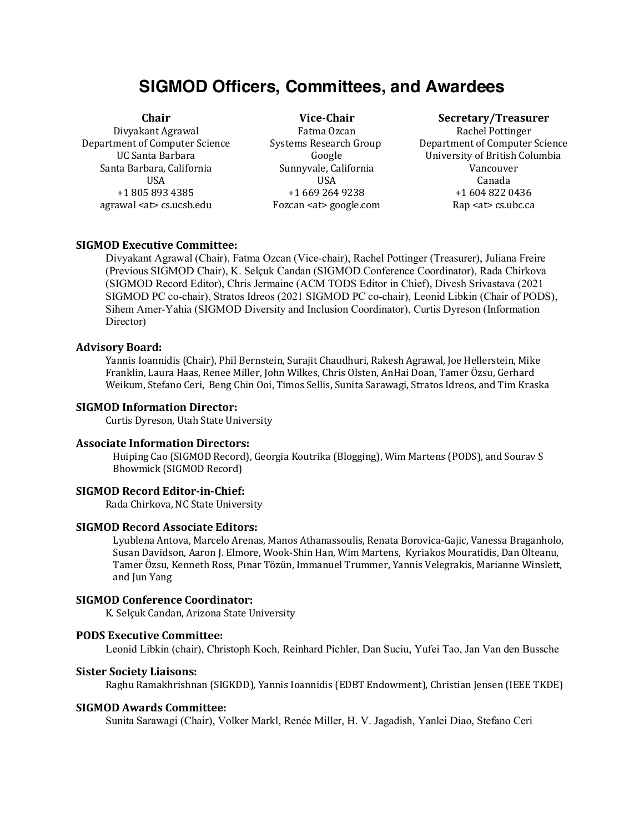# **SIGMOD Officers, Committees, and Awardees**

Santa Barbara, California California Sunnyvale, California California Vancouver agrawal <at> cs.ucsb.edu Fozcan <at> google.com Rap <at> cs.ubc.ca

Divyakant Agrawal **Fatma Ozcan** Fatma Ozcan Rachel Pottinger USA USA Canada

### **Chair Vice-Chair Secretary/Treasurer**

Department of Computer Science Systems Research Group Department of Computer Science UC Santa Barbara Google University of British Columbia +1 805 893 4385 +1 669 264 9238 +1 604 822 0436

# **SIGMOD Executive Committee:**

Divyakant Agrawal (Chair), Fatma Ozcan (Vice-chair), Rachel Pottinger (Treasurer), Juliana Freire (Previous SIGMOD Chair), K. Selçuk Candan (SIGMOD Conference Coordinator), Rada Chirkova (SIGMOD Record Editor), Chris Jermaine (ACM TODS Editor in Chief), Divesh Srivastava (2021 SIGMOD PC co-chair), Stratos Idreos (2021 SIGMOD PC co-chair), Leonid Libkin (Chair of PODS), Sihem Amer-Yahia (SIGMOD Diversity and Inclusion Coordinator), Curtis Dyreson (Information Director)

#### **Advisory Board:**

Yannis Ioannidis (Chair), Phil Bernstein, Surajit Chaudhuri, Rakesh Agrawal, Joe Hellerstein, Mike Franklin, Laura Haas, Renee Miller, John Wilkes, Chris Olsten, AnHai Doan, Tamer Özsu, Gerhard Weikum, Stefano Ceri, Beng Chin Ooi, Timos Sellis, Sunita Sarawagi, Stratos Idreos, and Tim Kraska

#### **SIGMOD Information Director:**

Curtis Dyreson, Utah State University

#### **Associate Information Directors:**

Huiping Cao (SIGMOD Record), Georgia Koutrika (Blogging), Wim Martens (PODS), and Sourav S Bhowmick (SIGMOD Record)

# **SIGMOD Record Editor-in-Chief:**

Rada Chirkova, NC State University

### **SIGMOD Record Associate Editors:**

Lyublena Antova, Marcelo Arenas, Manos Athanassoulis, Renata Borovica-Gajic, Vanessa Braganholo, Susan Davidson, Aaron J. Elmore, Wook-Shin Han, Wim Martens, Kyriakos Mouratidis, Dan Olteanu, Tamer Özsu, Kenneth Ross, Pınar Tözün, Immanuel Trummer, Yannis Velegrakis, Marianne Winslett, and Jun Yang

#### **SIGMOD Conference Coordinator:**

K. Selçuk Candan, Arizona State University

#### **PODS Executive Committee:**

Leonid Libkin (chair), Christoph Koch, Reinhard Pichler, Dan Suciu, Yufei Tao, Jan Van den Bussche

# **Sister Society Liaisons:**

Raghu Ramakhrishnan (SIGKDD), Yannis Ioannidis (EDBT Endowment), Christian Jensen (IEEE TKDE)

### **SIGMOD Awards Committee:**

Sunita Sarawagi (Chair), Volker Markl, Renée Miller, H. V. Jagadish, Yanlei Diao, Stefano Ceri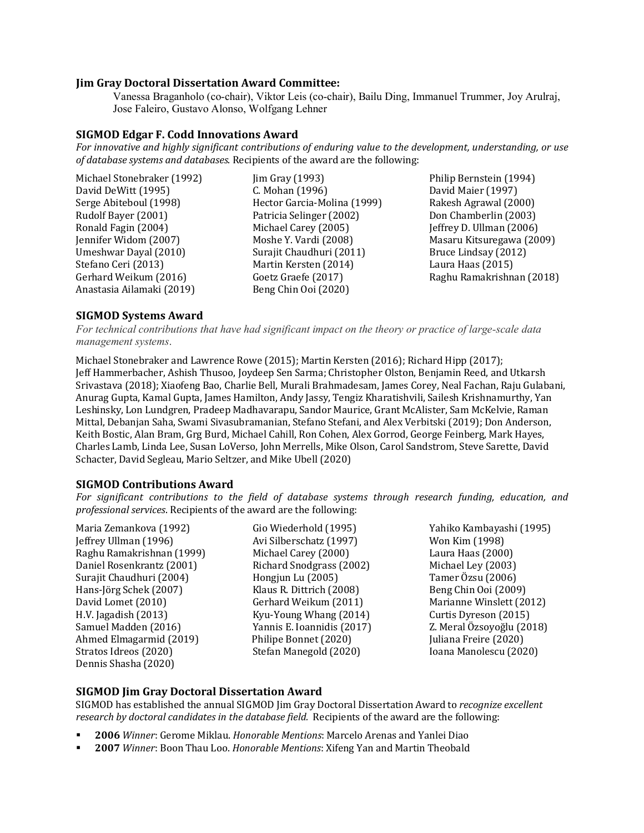# **Jim Gray Doctoral Dissertation Award Committee:**

Vanessa Braganholo (co-chair), Viktor Leis (co-chair), Bailu Ding, Immanuel Trummer, Joy Arulraj, Jose Faleiro, Gustavo Alonso, Wolfgang Lehner

# **SIGMOD Edgar F. Codd Innovations Award**

For innovative and highly significant contributions of enduring value to the development, understanding, or use *of database systems and databases*. Recipients of the award are the following:

| Michael Stonebraker (1992) |
|----------------------------|
| David DeWitt (1995)        |
| Serge Abiteboul (1998)     |
| Rudolf Bayer (2001)        |
| Ronald Fagin (2004)        |
| Jennifer Widom (2007)      |
| Umeshwar Dayal (2010)      |
| Stefano Ceri (2013)        |
| Gerhard Weikum (2016)      |
| Anastasia Ailamaki (2019)  |

C. Mohan (1996) David Maier (1997) Hector Garcia-Molina (1999) Rakesh Agrawal (2000) Patricia Selinger (2002) Don Chamberlin (2003) Michael Carey (2005) **I**effrey D. Ullman (2006) Surajit Chaudhuri (2011) Bruce Lindsay (2012) Martin Kersten (2014) **Laura Haas** (2015) Beng Chin Ooi (2020)

 $\lim$  Gray (1993) Philip Bernstein (1994) Moshe Y. Vardi (2008) Masaru Kitsuregawa (2009) Goetz Graefe (2017) Raghu Ramakrishnan (2018)

# **SIGMOD Systems Award**

*For technical contributions that have had significant impact on the theory or practice of large-scale data management systems*.

Michael Stonebraker and Lawrence Rowe (2015); Martin Kersten (2016); Richard Hipp (2017); Jeff Hammerbacher, Ashish Thusoo, Joydeep Sen Sarma; Christopher Olston, Benjamin Reed, and Utkarsh Srivastava (2018); Xiaofeng Bao, Charlie Bell, Murali Brahmadesam, James Corey, Neal Fachan, Raju Gulabani, Anurag Gupta, Kamal Gupta, James Hamilton, Andy Jassy, Tengiz Kharatishvili, Sailesh Krishnamurthy, Yan Leshinsky, Lon Lundgren, Pradeep Madhavarapu, Sandor Maurice, Grant McAlister, Sam McKelvie, Raman Mittal, Debanjan Saha, Swami Sivasubramanian, Stefano Stefani, and Alex Verbitski (2019); Don Anderson, Keith Bostic, Alan Bram, Grg Burd, Michael Cahill, Ron Cohen, Alex Gorrod, George Feinberg, Mark Hayes, Charles Lamb, Linda Lee, Susan LoVerso, John Merrells, Mike Olson, Carol Sandstrom, Steve Sarette, David Schacter, David Segleau, Mario Seltzer, and Mike Ubell (2020)

# **SIGMOD Contributions Award**

For significant contributions to the field of database systems through research funding, education, and *professional services*. Recipients of the award are the following:

Jeffrey Ullman (1996) Avi Silberschatz (1997) Won Kim (1998) Raghu Ramakrishnan (1999) Michael Carey (2000) Laura Haas (2000) Daniel Rosenkrantz (2001) Richard Snodgrass (2002) Michael Ley (2003) Surajit Chaudhuri (2004) Hongjun Lu (2005) Tamer Özsu (2006) Hans-Jörg Schek (2007) Klaus R. Dittrich (2008) Beng Chin Ooi (2009) David Lomet (2010) Gerhard Weikum (2011) Marianne Winslett (2012) H.V. Jagadish (2013) Kyu-Young Whang (2014) Curtis Dyreson (2015) Samuel Madden (2016) Yannis E. Ioannidis (2017) Z. Meral Özsoyoğlu (2018) Ahmed Elmagarmid (2019) <br>
Stratos Idreos (2020) <br>
Stefan Manegold (2020) <br>
Juliana Freire (2020) <br>
Joana Manolescu (202 Dennis Shasha (2020)

Stefan Manegold (2020) **Stefan Manegold** (2020)

Maria Zemankova (1992) Gio Wiederhold (1995) Yahiko Kambayashi (1995)

# **SIGMOD Jim Gray Doctoral Dissertation Award**

SIGMOD has established the annual SIGMOD Jim Gray Doctoral Dissertation Award to *recognize excellent research by doctoral candidates in the database field.* Recipients of the award are the following:

- § **2006** *Winner*: Gerome Miklau. *Honorable Mentions*: Marcelo Arenas and Yanlei Diao
- § **2007** *Winner*: Boon Thau Loo. *Honorable Mentions*: Xifeng Yan and Martin Theobald